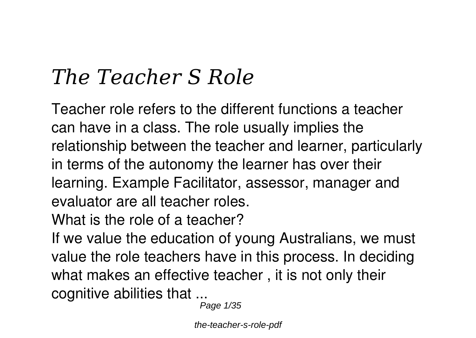# *The Teacher S Role*

Teacher role refers to the different functions a teacher can have in a class. The role usually implies the relationship between the teacher and learner, particularly in terms of the autonomy the learner has over their learning. Example Facilitator, assessor, manager and evaluator are all teacher roles.

**What is the role of a teacher?**

If we value the education of young Australians, we must value the role teachers have in this process. In deciding what makes an effective teacher , it is not only their cognitive abilities that ...

Page 1/35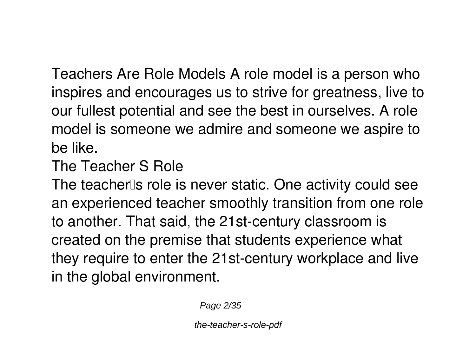Teachers Are Role Models A role model is a person who inspires and encourages us to strive for greatness, live to our fullest potential and see the best in ourselves. A role model is someone we admire and someone we aspire to be like.

**The Teacher S Role**

The teacher's role is never static. One activity could see an experienced teacher smoothly transition from one role to another. That said, the 21st-century classroom is created on the premise that students experience what they require to enter the 21st-century workplace and live in the global environment.

Page 2/35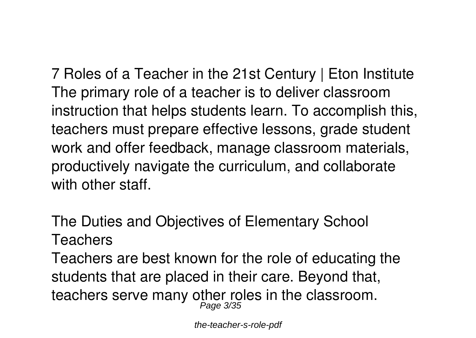**7 Roles of a Teacher in the 21st Century | Eton Institute** The primary role of a teacher is to deliver classroom instruction that helps students learn. To accomplish this, teachers must prepare effective lessons, grade student work and offer feedback, manage classroom materials, productively navigate the curriculum, and collaborate with other staff.

**The Duties and Objectives of Elementary School Teachers**

Teachers are best known for the role of educating the students that are placed in their care. Beyond that, teachers serve many other roles in the classroom.<br>Page 3/35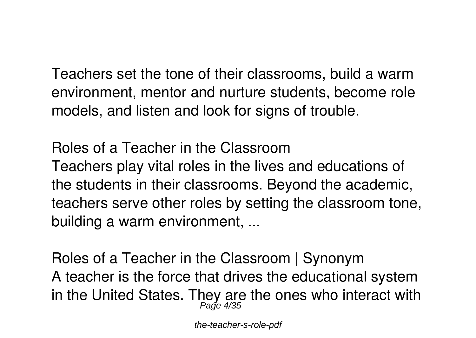Teachers set the tone of their classrooms, build a warm environment, mentor and nurture students, become role models, and listen and look for signs of trouble.

**Roles of a Teacher in the Classroom** Teachers play vital roles in the lives and educations of the students in their classrooms. Beyond the academic, teachers serve other roles by setting the classroom tone, building a warm environment, ...

**Roles of a Teacher in the Classroom | Synonym** A teacher is the force that drives the educational system in the United States. They are the ones who interact with Page 4/35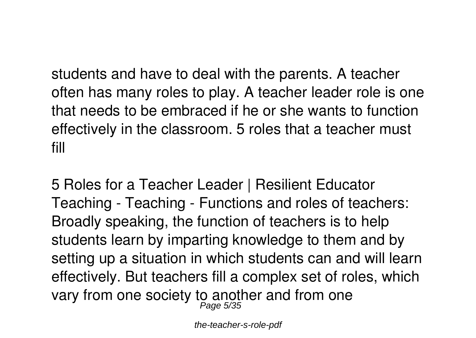students and have to deal with the parents. A teacher often has many roles to play. A teacher leader role is one that needs to be embraced if he or she wants to function effectively in the classroom. 5 roles that a teacher must fill

**5 Roles for a Teacher Leader | Resilient Educator** Teaching - Teaching - Functions and roles of teachers: Broadly speaking, the function of teachers is to help students learn by imparting knowledge to them and by setting up a situation in which students can and will learn effectively. But teachers fill a complex set of roles, which vary from one society to another and from one Page 5/35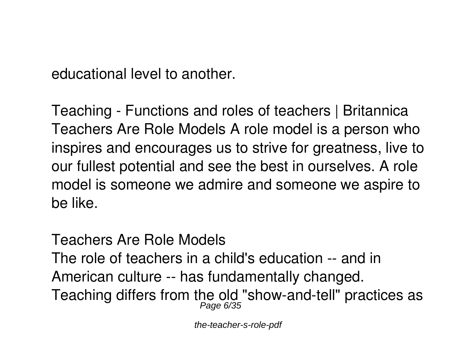educational level to another.

**Teaching - Functions and roles of teachers | Britannica** Teachers Are Role Models A role model is a person who inspires and encourages us to strive for greatness, live to our fullest potential and see the best in ourselves. A role model is someone we admire and someone we aspire to be like.

**Teachers Are Role Models**

The role of teachers in a child's education -- and in American culture -- has fundamentally changed. Teaching differs from the old "show-and-tell" practices as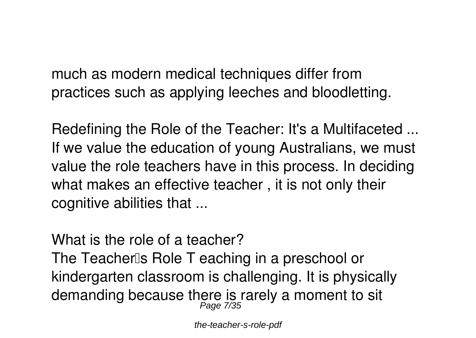much as modern medical techniques differ from practices such as applying leeches and bloodletting.

**Redefining the Role of the Teacher: It's a Multifaceted ...** If we value the education of young Australians, we must value the role teachers have in this process. In deciding what makes an effective teacher , it is not only their cognitive abilities that ...

**What is the role of a teacher?**

The Teacher<sup>'s</sup> Role T eaching in a preschool or kindergarten classroom is challenging. It is physically demanding because there is rarely a moment to sit Page 7/35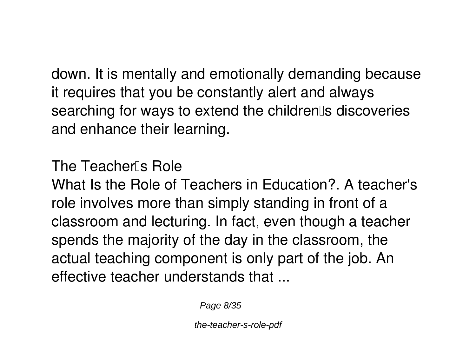down. It is mentally and emotionally demanding because it requires that you be constantly alert and always searching for ways to extend the children<sup>®</sup>s discoveries and enhance their learning.

**The Teacher's Role**

What Is the Role of Teachers in Education? A teacher's role involves more than simply standing in front of a classroom and lecturing. In fact, even though a teacher spends the majority of the day in the classroom, the actual teaching component is only part of the job. An effective teacher understands that ...

Page 8/35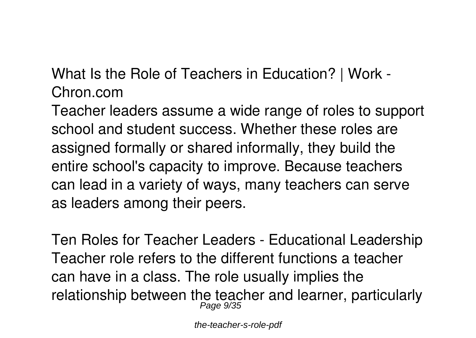**What Is the Role of Teachers in Education? | Work - Chron.com**

Teacher leaders assume a wide range of roles to support school and student success. Whether these roles are assigned formally or shared informally, they build the entire school's capacity to improve. Because teachers can lead in a variety of ways, many teachers can serve as leaders among their peers.

**Ten Roles for Teacher Leaders - Educational Leadership** Teacher role refers to the different functions a teacher can have in a class. The role usually implies the relationship between the teacher and learner, particularly Page 9/35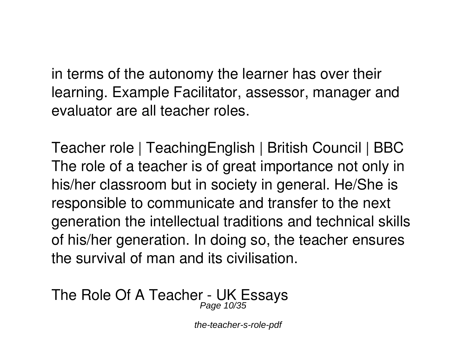in terms of the autonomy the learner has over their learning. Example Facilitator, assessor, manager and evaluator are all teacher roles.

**Teacher role | TeachingEnglish | British Council | BBC** The role of a teacher is of great importance not only in his/her classroom but in society in general. He/She is responsible to communicate and transfer to the next generation the intellectual traditions and technical skills of his/her generation. In doing so, the teacher ensures the survival of man and its civilisation.

#### **The Role Of A Teacher - UK Essays** Page 10/35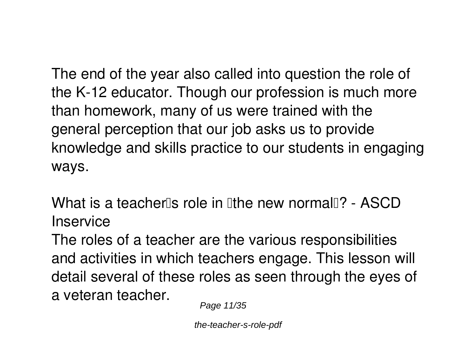The end of the year also called into question the role of the K-12 educator. Though our profession is much more than homework, many of us were trained with the general perception that our job asks us to provide knowledge and skills practice to our students in engaging ways.

**What is a teacherlls role in lithe new normall ? - ASCD Inservice**

The roles of a teacher are the various responsibilities and activities in which teachers engage. This lesson will detail several of these roles as seen through the eyes of a veteran teacher.

Page 11/35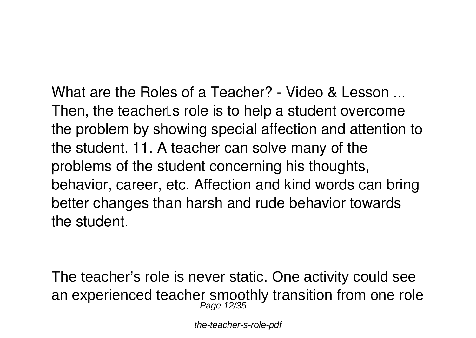**What are the Roles of a Teacher? - Video & Lesson ...** Then, the teacher<sup>''</sup>s role is to help a student overcome the problem by showing special affection and attention to the student. 11. A teacher can solve many of the problems of the student concerning his thoughts, behavior, career, etc. Affection and kind words can bring better changes than harsh and rude behavior towards the student.

The teacher's role is never static. One activity could see an experienced teacher smoothly transition from one role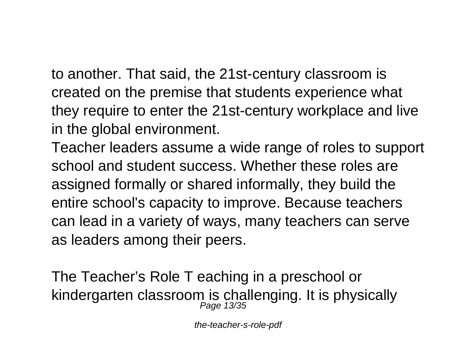to another. That said, the 21st-century classroom is created on the premise that students experience what they require to enter the 21st-century workplace and live in the global environment.

Teacher leaders assume a wide range of roles to support school and student success. Whether these roles are assigned formally or shared informally, they build the entire school's capacity to improve. Because teachers can lead in a variety of ways, many teachers can serve as leaders among their peers.

The Teacher's Role T eaching in a preschool or kindergarten classroom is challenging. It is physically<br> $\frac{Page \ 13/35}$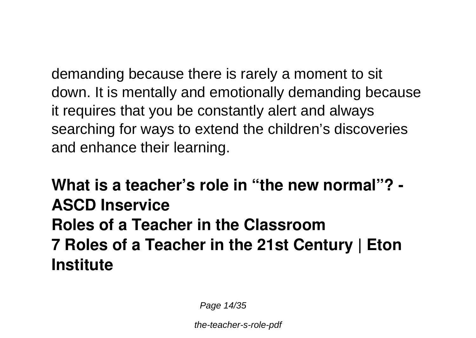demanding because there is rarely a moment to sit down. It is mentally and emotionally demanding because it requires that you be constantly alert and always searching for ways to extend the children's discoveries and enhance their learning.

**What is a teacher's role in "the new normal"? - ASCD Inservice Roles of a Teacher in the Classroom 7 Roles of a Teacher in the 21st Century | Eton Institute**

Page 14/35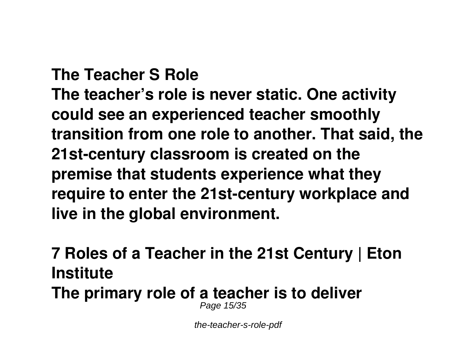**The Teacher S Role The teacher's role is never static. One activity could see an experienced teacher smoothly transition from one role to another. That said, the 21st-century classroom is created on the premise that students experience what they require to enter the 21st-century workplace and live in the global environment.**

**7 Roles of a Teacher in the 21st Century | Eton Institute The primary role of a teacher is to deliver** Page 15/35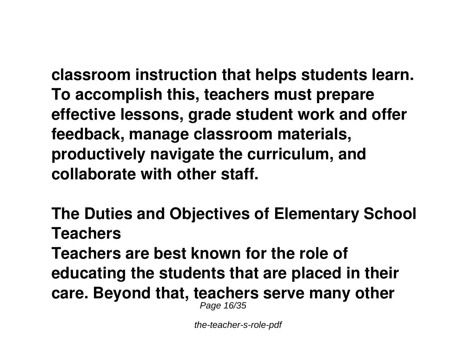**classroom instruction that helps students learn. To accomplish this, teachers must prepare effective lessons, grade student work and offer feedback, manage classroom materials, productively navigate the curriculum, and collaborate with other staff.**

**The Duties and Objectives of Elementary School Teachers Teachers are best known for the role of educating the students that are placed in their care. Beyond that, teachers serve many other** Page 16/35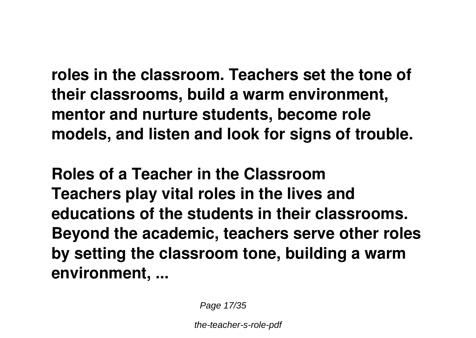**roles in the classroom. Teachers set the tone of their classrooms, build a warm environment, mentor and nurture students, become role models, and listen and look for signs of trouble.**

**Roles of a Teacher in the Classroom Teachers play vital roles in the lives and educations of the students in their classrooms. Beyond the academic, teachers serve other roles by setting the classroom tone, building a warm environment, ...**

Page 17/35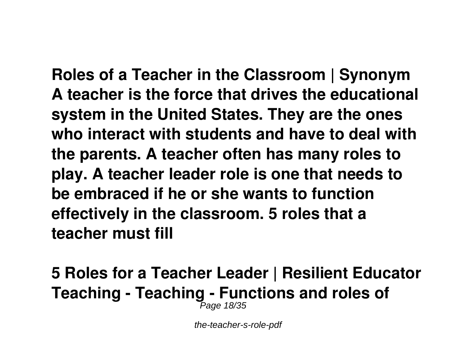**Roles of a Teacher in the Classroom | Synonym A teacher is the force that drives the educational system in the United States. They are the ones who interact with students and have to deal with the parents. A teacher often has many roles to play. A teacher leader role is one that needs to be embraced if he or she wants to function effectively in the classroom. 5 roles that a teacher must fill**

#### **5 Roles for a Teacher Leader | Resilient Educator Teaching - Teaching - Functions and roles of** Page 18/35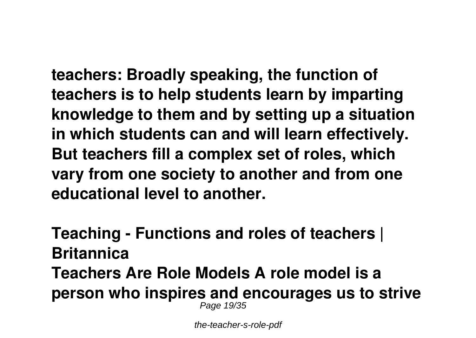**teachers: Broadly speaking, the function of teachers is to help students learn by imparting knowledge to them and by setting up a situation in which students can and will learn effectively. But teachers fill a complex set of roles, which vary from one society to another and from one educational level to another.**

**Teaching - Functions and roles of teachers | Britannica Teachers Are Role Models A role model is a person who inspires and encourages us to strive** Page 19/35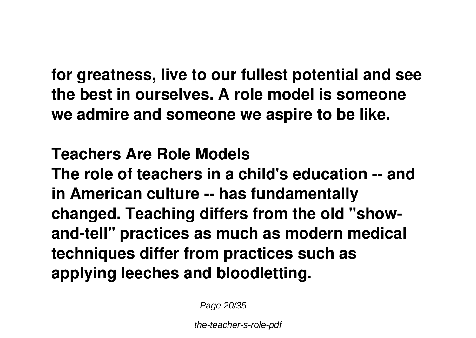**for greatness, live to our fullest potential and see the best in ourselves. A role model is someone we admire and someone we aspire to be like.**

**Teachers Are Role Models The role of teachers in a child's education -- and in American culture -- has fundamentally changed. Teaching differs from the old "showand-tell" practices as much as modern medical techniques differ from practices such as applying leeches and bloodletting.**

Page 20/35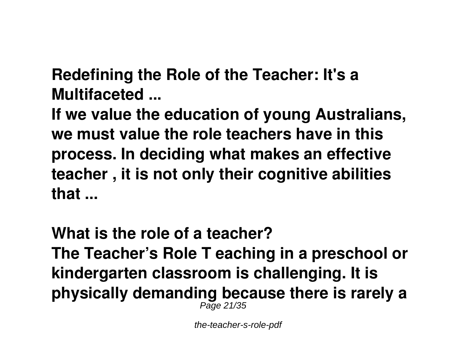**Redefining the Role of the Teacher: It's a Multifaceted ...**

**If we value the education of young Australians, we must value the role teachers have in this process. In deciding what makes an effective teacher , it is not only their cognitive abilities that ...**

**What is the role of a teacher? The Teacher's Role T eaching in a preschool or kindergarten classroom is challenging. It is physically demanding because there is rarely a** Page 21/35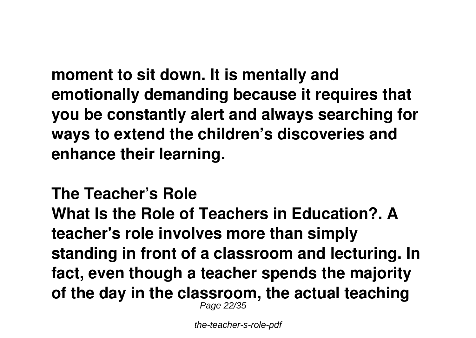**moment to sit down. It is mentally and emotionally demanding because it requires that you be constantly alert and always searching for ways to extend the children's discoveries and enhance their learning.**

**The Teacher's Role What Is the Role of Teachers in Education?. A teacher's role involves more than simply standing in front of a classroom and lecturing. In fact, even though a teacher spends the majority of the day in the classroom, the actual teaching** Page 22/35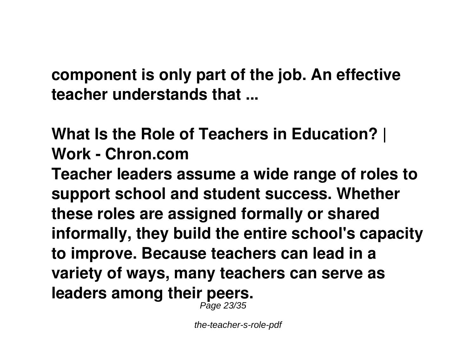**component is only part of the job. An effective teacher understands that ...**

## **What Is the Role of Teachers in Education? | Work - Chron.com**

**Teacher leaders assume a wide range of roles to support school and student success. Whether these roles are assigned formally or shared informally, they build the entire school's capacity to improve. Because teachers can lead in a variety of ways, many teachers can serve as leaders among their peers.**

Page 23/35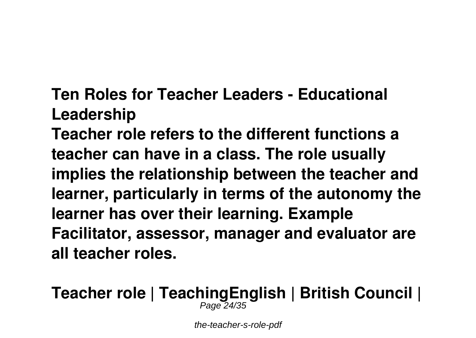**Ten Roles for Teacher Leaders - Educational Leadership**

**Teacher role refers to the different functions a teacher can have in a class. The role usually implies the relationship between the teacher and learner, particularly in terms of the autonomy the learner has over their learning. Example Facilitator, assessor, manager and evaluator are all teacher roles.**

**Teacher role | TeachingEnglish | British Council |** Page 24/35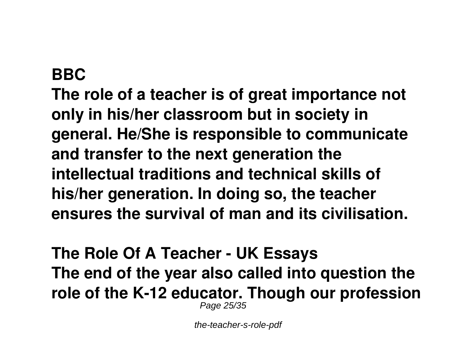#### **BBC**

**The role of a teacher is of great importance not only in his/her classroom but in society in general. He/She is responsible to communicate and transfer to the next generation the intellectual traditions and technical skills of his/her generation. In doing so, the teacher ensures the survival of man and its civilisation.**

**The Role Of A Teacher - UK Essays The end of the year also called into question the role of the K-12 educator. Though our profession** Page 25/35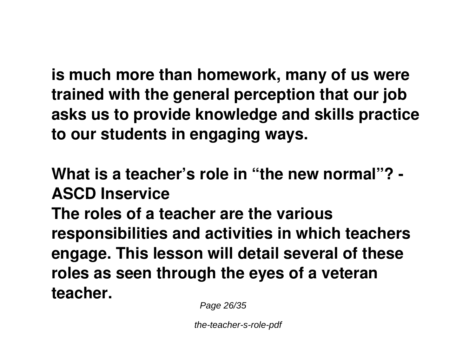**is much more than homework, many of us were trained with the general perception that our job asks us to provide knowledge and skills practice to our students in engaging ways.**

**What is a teacher's role in "the new normal"? - ASCD Inservice The roles of a teacher are the various responsibilities and activities in which teachers engage. This lesson will detail several of these roles as seen through the eyes of a veteran teacher.**

Page 26/35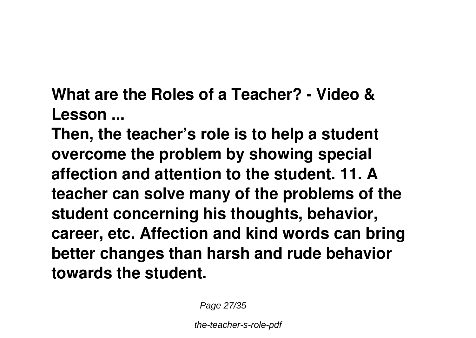**What are the Roles of a Teacher? - Video & Lesson ...**

**Then, the teacher's role is to help a student overcome the problem by showing special affection and attention to the student. 11. A teacher can solve many of the problems of the student concerning his thoughts, behavior, career, etc. Affection and kind words can bring better changes than harsh and rude behavior towards the student.**

Page 27/35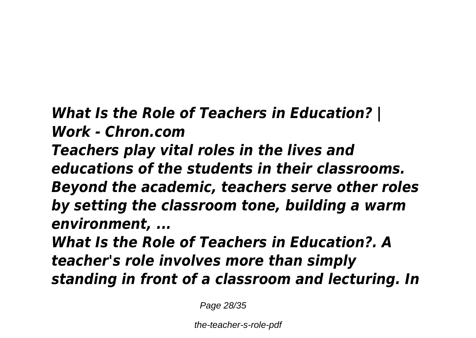### *What Is the Role of Teachers in Education? | Work - Chron.com*

*Teachers play vital roles in the lives and educations of the students in their classrooms. Beyond the academic, teachers serve other roles by setting the classroom tone, building a warm environment, ...*

*What Is the Role of Teachers in Education?. A teacher's role involves more than simply standing in front of a classroom and lecturing. In*

Page 28/35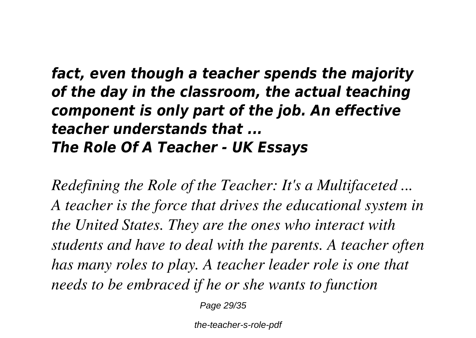#### *fact, even though a teacher spends the majority of the day in the classroom, the actual teaching component is only part of the job. An effective teacher understands that ... The Role Of A Teacher - UK Essays*

*Redefining the Role of the Teacher: It's a Multifaceted ... A teacher is the force that drives the educational system in the United States. They are the ones who interact with students and have to deal with the parents. A teacher often has many roles to play. A teacher leader role is one that needs to be embraced if he or she wants to function*

Page 29/35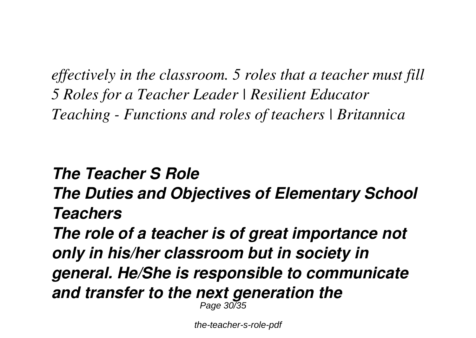*effectively in the classroom. 5 roles that a teacher must fill 5 Roles for a Teacher Leader | Resilient Educator Teaching - Functions and roles of teachers | Britannica*

#### *The Teacher S Role*

*The Duties and Objectives of Elementary School Teachers*

*The role of a teacher is of great importance not only in his/her classroom but in society in general. He/She is responsible to communicate and transfer to the next generation the* Page 30/35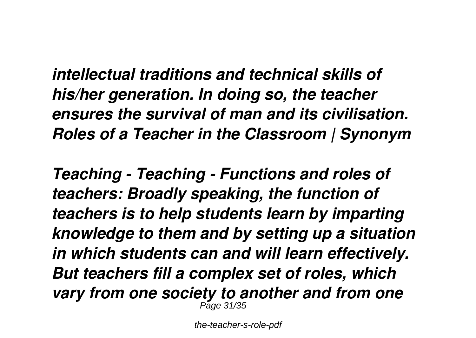*intellectual traditions and technical skills of his/her generation. In doing so, the teacher ensures the survival of man and its civilisation. Roles of a Teacher in the Classroom | Synonym*

*Teaching - Teaching - Functions and roles of teachers: Broadly speaking, the function of teachers is to help students learn by imparting knowledge to them and by setting up a situation in which students can and will learn effectively. But teachers fill a complex set of roles, which vary from one society to another and from one* Page 31/35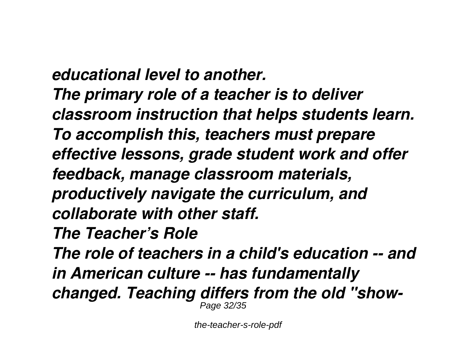*educational level to another. The primary role of a teacher is to deliver classroom instruction that helps students learn. To accomplish this, teachers must prepare effective lessons, grade student work and offer feedback, manage classroom materials, productively navigate the curriculum, and collaborate with other staff. The Teacher's Role The role of teachers in a child's education -- and in American culture -- has fundamentally changed. Teaching differs from the old "show-*Page 32/35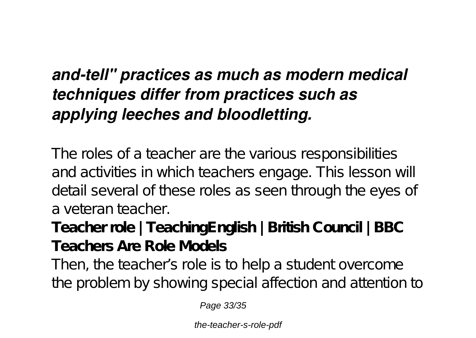# *and-tell" practices as much as modern medical techniques differ from practices such as applying leeches and bloodletting.*

The roles of a teacher are the various responsibilities and activities in which teachers engage. This lesson will detail several of these roles as seen through the eyes of a veteran teacher.

**Teacher role | TeachingEnglish | British Council | BBC Teachers Are Role Models**

Then, the teacher's role is to help a student overcome the problem by showing special affection and attention to

Page 33/35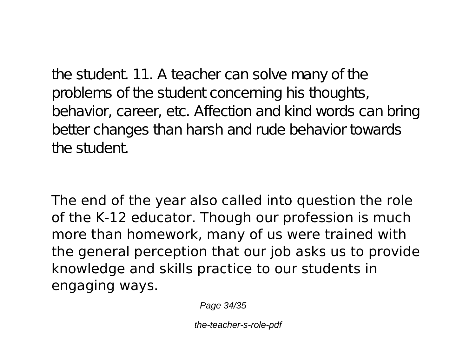the student. 11. A teacher can solve many of the problems of the student concerning his thoughts, behavior, career, etc. Affection and kind words can bring better changes than harsh and rude behavior towards the student.

The end of the year also called into question the role of the K-12 educator. Though our profession is much more than homework, many of us were trained with the general perception that our job asks us to provide knowledge and skills practice to our students in engaging ways.

Page 34/35